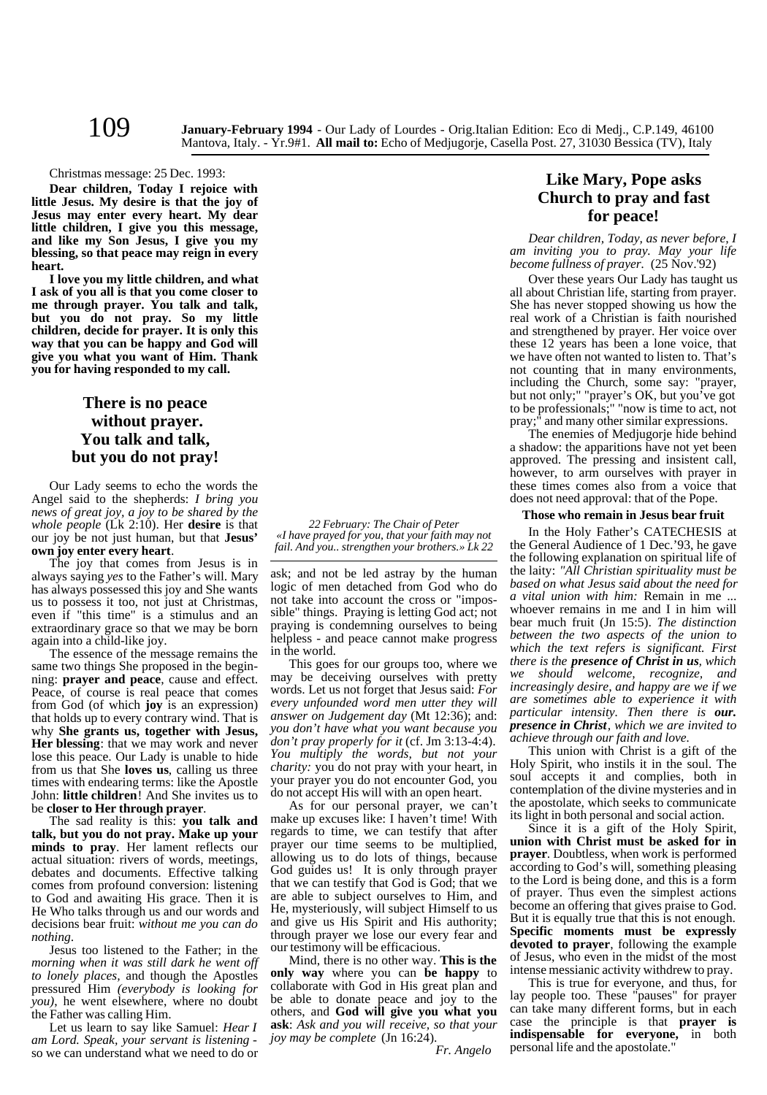Christmas message: 25 Dec. 1993:

**Dear children, Today I rejoice with little Jesus. My desire is that the joy of Jesus may enter every heart. My dear little children, I give you this message, and like my Son Jesus, I give you my blessing, so that peace may reign in every heart.**

**I love you my little children, and what I ask of you all is that you come closer to me through prayer. You talk and talk, but you do not pray. So my little children, decide for prayer. It is only this way that you can be happy and God will give you what you want of Him. Thank you for having responded to my call.**

# **There is no peace without prayer. You talk and talk, but you do not pray!**

Our Lady seems to echo the words the Angel said to the shepherds: *I bring you news of great joy, a joy to be shared by the whole people* (Lk 2:10). Her **desire** is that our joy be not just human, but that **Jesus' own joy enter every heart**.

The joy that comes from Jesus is in always saying *yes* to the Father's will. Mary has always possessed this joy and She wants us to possess it too, not just at Christmas, even if "this time" is a stimulus and an extraordinary grace so that we may be born again into a child-like joy.

The essence of the message remains the same two things She proposed in the beginning: **prayer and peace**, cause and effect. Peace, of course is real peace that comes from God (of which **joy** is an expression) that holds up to every contrary wind. That is why **She grants us, together with Jesus, Her blessing**: that we may work and never lose this peace. Our Lady is unable to hide from us that She **loves us**, calling us three times with endearing terms: like the Apostle John: **little children**! And She invites us to be **closer to Her through prayer**.

The sad reality is this: **you talk and talk, but you do not pray. Make up your minds to pray**. Her lament reflects our actual situation: rivers of words, meetings, debates and documents. Effective talking comes from profound conversion: listening to God and awaiting His grace. Then it is He Who talks through us and our words and decisions bear fruit: *without me you can do nothing*.

Jesus too listened to the Father; in the *morning when it was still dark he went off to lonely places,* and though the Apostles pressured Him *(everybody is looking for you)*, he went elsewhere, where no doubt the Father was calling Him.

Let us learn to say like Samuel: *Hear I am Lord. Speak, your servant is listening* so we can understand what we need to do or

*22 February: The Chair of Peter «I have prayed for you, that your faith may not fail. And you.. strengthen your brothers.» Lk 22*

ask; and not be led astray by the human logic of men detached from God who do not take into account the cross or "impossible" things. Praying is letting God act; not praying is condemning ourselves to being helpless - and peace cannot make progress in the world.

This goes for our groups too, where we may be deceiving ourselves with pretty words. Let us not forget that Jesus said: *For every unfounded word men utter they will answer on Judgement day* (Mt 12:36); and: *you don't have what you want because you don't pray properly for it* (cf. Jm 3:13-4:4). *You multiply the words, but not your charity:* you do not pray with your heart, in your prayer you do not encounter God, you do not accept His will with an open heart.

As for our personal prayer, we can't make up excuses like: I haven't time! With regards to time, we can testify that after prayer our time seems to be multiplied, allowing us to do lots of things, because God guides us! It is only through prayer that we can testify that God is God; that we are able to subject ourselves to Him, and He, mysteriously, will subject Himself to us and give us His Spirit and His authority; through prayer we lose our every fear and our testimony will be efficacious.

Mind, there is no other way. **This is the only way** where you can **be happy** to collaborate with God in His great plan and be able to donate peace and joy to the others, and **God will give you what you ask**: *Ask and you will receive, so that your joy may be complete* (Jn 16:24).

*Fr. Angelo*

# **Like Mary, Pope asks Church to pray and fast for peace!**

*Dear children, Today, as never before, I am inviting you to pray. May your life become fullness of prayer.* (25 Nov.'92)

Over these years Our Lady has taught us all about Christian life, starting from prayer. She has never stopped showing us how the real work of a Christian is faith nourished and strengthened by prayer. Her voice over these 12 years has been a lone voice, that we have often not wanted to listen to. That's not counting that in many environments, including the Church, some say: "prayer, but not only;" "prayer's OK, but you've got to be professionals;" "now is time to act, not pray;" and many other similar expressions.

The enemies of Medjugorje hide behind a shadow: the apparitions have not yet been approved. The pressing and insistent call, however, to arm ourselves with prayer in these times comes also from a voice that does not need approval: that of the Pope.

## **Those who remain in Jesus bear fruit**

In the Holy Father's CATECHESIS at the General Audience of 1 Dec.'93, he gave the following explanation on spiritual life of the laity: *"All Christian spirituality must be based on what Jesus said about the need for a vital union with him:* Remain in me whoever remains in me and I in him will bear much fruit (Jn 15:5). *The distinction between the two aspects of the union to which the text refers is significant. First there is the presence of Christ in us, which we should welcome, recognize, and increasingly desire, and happy are we if we are sometimes able to experience it with particular intensity. Then there is our. presence in Christ, which we are invited to achieve through our faith and love.*

This union with Christ is a gift of the Holy Spirit, who instils it in the soul. The soul accepts it and complies, both in contemplation of the divine mysteries and in the apostolate, which seeks to communicate its light in both personal and social action.

Since it is a gift of the Holy Spirit, **union with Christ must be asked for in prayer**. Doubtless, when work is performed according to God's will, something pleasing to the Lord is being done, and this is a form of prayer. Thus even the simplest actions become an offering that gives praise to God. But it is equally true that this is not enough. **Specific moments must be expressly devoted to prayer**, following the example of Jesus, who even in the midst of the most intense messianic activity withdrew to pray.

This is true for everyone, and thus, for lay people too. These "pauses" for prayer can take many different forms, but in each case the principle is that **prayer is indispensable for everyone,** in both personal life and the apostolate."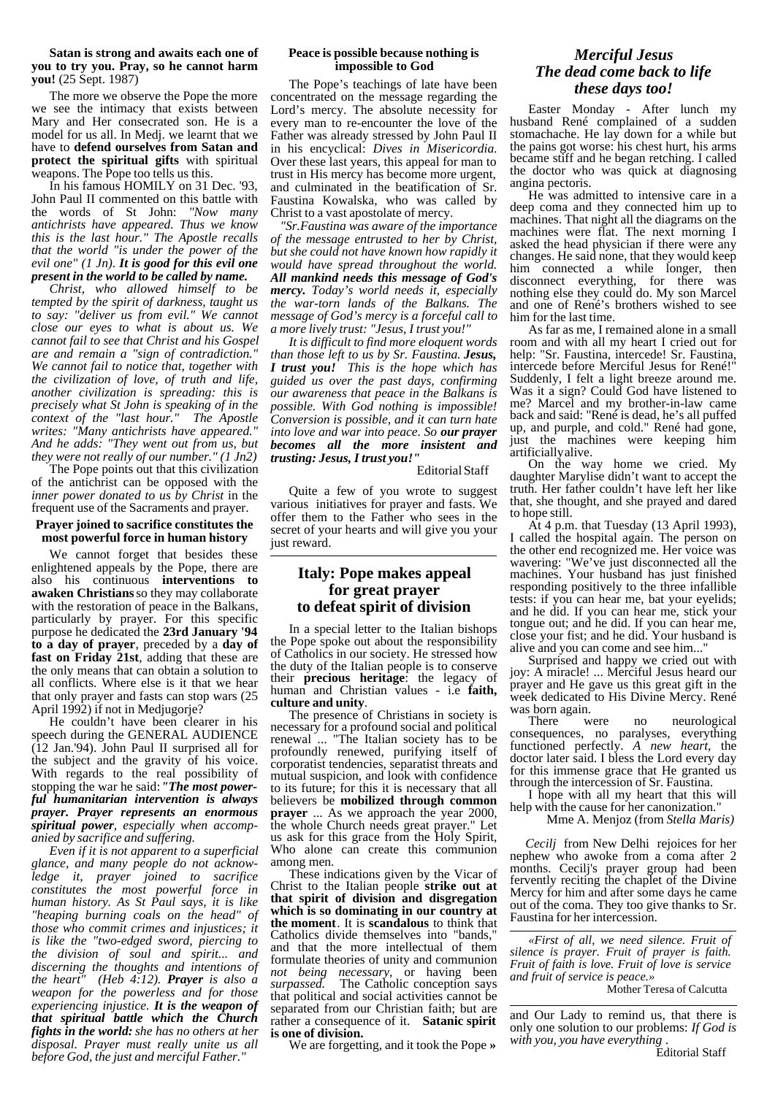**Satan is strong and awaits each one of you to try you. Pray, so he cannot harm you!** (25 Sept. 1987)

The more we observe the Pope the more we see the intimacy that exists between Mary and Her consecrated son. He is a model for us all. In Medj. we learnt that we have to **defend ourselves from Satan and protect the spiritual gifts** with spiritual weapons. The Pope too tells us this.

In his famous HOMILY on 31 Dec. '93, John Paul II commented on this battle with<br>the words of St John: "Now many the words of St John: *antichrists have appeared. Thus we know this is the last hour." The Apostle recalls that the world "is under the power of the evil one" (1 Jn). It is good for this evil one present in the world to be called by name.*

*Christ, who allowed himself to be tempted by the spirit of darkness, taught us to say: "deliver us from evil." We cannot close our eyes to what is about us. We cannot fail to see that Christ and his Gospel are and remain a "sign of contradiction." We cannot fail to notice that, together with the civilization of love, of truth and life, another civilization is spreading: this is precisely what St John is speaking of in the context of the "last hour." writes: "Many antichrists have appeared." And he adds: "They went out from us, but they were not really of our number." (1 Jn2)*

The Pope points out that this civilization of the antichrist can be opposed with the *inner power donated to us by Christ* in the frequent use of the Sacraments and prayer.

### **Prayer joined to sacrifice constitutes the most powerful force in human history**

We cannot forget that besides these enlightened appeals by the Pope, there are also his continuous **interventions to awaken Christians** so they may collaborate with the restoration of peace in the Balkans, particularly by prayer. For this specific purpose he dedicated the **23rd January '94 to a day of prayer**, preceded by a **day of fast on Friday 21st**, adding that these are the only means that can obtain a solution to all conflicts. Where else is it that we hear that only prayer and fasts can stop wars (25 April 1992) if not in Medjugorje?

He couldn't have been clearer in his speech during the GENERAL AUDIENCE (12 Jan.'94). John Paul II surprised all for the subject and the gravity of his voice. With regards to the real possibility of stopping the war he said:*"The most powerful humanitarian intervention is always prayer. Prayer represents an enormous spiritual power, especially when accompanied by sacrifice and suffering.*

*Even if it is not apparent to a superficial glance, and many people do not acknowledge it, prayer joined to sacrifice constitutes the most powerful force in human history. As St Paul says, it is like "heaping burning coals on the head" of those who commit crimes and injustices; it is like the "two-edged sword, piercing to the division of soul and spirit... and discerning the thoughts and intentions of the heart" (Heb 4:12). Prayer is also a weapon for the powerless and for those experiencing injustice. It is the weapon of that spiritual battle which the Church fights in the world: she has no others at her disposal. Prayer must really unite us all* before God, the just and merciful Father.

### **Peace is possible because nothing is impossible to God**

The Pope's teachings of late have been concentrated on the message regarding the Lord's mercy. The absolute necessity for every man to re-encounter the love of the Father was already stressed by John Paul II in his encyclical: *Dives in Misericordia*. Over these last years, this appeal for man to trust in His mercy has become more urgent, and culminated in the beatification of Sr. Faustina Kowalska, who was called by Christ to a vast apostolate of mercy.

 *"Sr.Faustina was aware of the importance of the message entrusted to her by Christ, but she could not have known how rapidly it would have spread throughout the world. All mankind needs this message of God's mercy. Today's world needs it, especially the war-torn lands of the Balkans. The message of God's mercy is a forceful call to a more lively trust: "Jesus, I trust you!"*

*It is difficult to find more eloquent words than those left to us by Sr. Faustina. Jesus, I trust you! This is the hope which has guided us over the past days, confirming our awareness that peace in the Balkans is possible. With God nothing is impossible! Conversion is possible, and it can turn hate into love and war into peace. So our prayer becomes all the more insistent and trusting: Jesus, I trust you!"*

Editorial Staff

Quite a few of you wrote to suggest various initiatives for prayer and fasts. We offer them to the Father who sees in the secret of your hearts and will give you your just reward.

# **Italy: Pope makes appeal for great prayer to defeat spirit of division**

In a special letter to the Italian bishops the Pope spoke out about the responsibility of Catholics in our society. He stressed how the duty of the Italian people is to conserve their **precious heritage**: the legacy of human and Christian values - i.e **faith, culture and unity**.

The presence of Christians in society is necessary for a profound social and political renewal ... "The Italian society has to be profoundly renewed, purifying itself of corporatist tendencies, separatist threats and mutual suspicion, and look with confidence to its future; for this it is necessary that all believers be **mobilized through common prayer** ... As we approach the year 2000, the whole Church needs great prayer." Let us ask for this grace from the Holy Spirit, Who alone can create this communion among men.

These indications given by the Vicar of Christ to the Italian people **strike out at that spirit of division and disgregation which is so dominating in our country at the moment**. It is **scandalous** to think that Catholics divide themselves into "bands," and that the more intellectual of them formulate theories of unity and communion *not being necessary,* or having been *surpassed.* The Catholic conception says that political and social activities cannot be separated from our Christian faith; but are rather a consequence of it. **Satanic spirit is one of division.**

We are forgetting, and it took the Pope **»**

## *Merciful Jesus The dead come back to life these days too!*

Easter Monday - After lunch my husband René complained of a sudden stomachache. He lay down for a while but the pains got worse: his chest hurt, his arms became stiff and he began retching. I called the doctor who was quick at diagnosing angina pectoris.

He was admitted to intensive care in a deep coma and they connected him up to machines. That night all the diagrams on the machines were flat. The next morning I asked the head physician if there were any changes. He said none, that they would keep him connected a while longer, then disconnect everything, for there was nothing else they could do. My son Marcel and one of René's brothers wished to see him for the last time.

As far as me, I remained alone in a small room and with all my heart I cried out for help: "Sr. Faustina, intercede! Sr. Faustina, intercede before Merciful Jesus for René!" Suddenly, I felt a light breeze around me. Was it a sign? Could God have listened to me? Marcel and my brother-in-law came back and said: "René is dead, he's all puffed up, and purple, and cold." René had gone, just the machines were keeping him artificially alive.

On the way home we cried. My daughter Marylise didn't want to accept the truth. Her father couldn't have left her like that, she thought, and she prayed and dared to hope still.

At 4 p.m. that Tuesday (13 April 1993), I called the hospital again. The person on the other end recognized me. Her voice was wavering: "We've just disconnected all the machines. Your husband has just finished responding positively to the three infallible tests: if you can hear me, bat your eyelids; and he did. If you can hear me, stick your tongue out; and he did. If you can hear me, close your fist; and he did. Your husband is alive and you can come and see him...

Surprised and happy we cried out with joy: A miracle! ... Merciful Jesus heard our prayer and He gave us this great gift in the week dedicated to His Divine Mercy. René

was born again.<br>There were no neurological consequences, no paralyses, everything functioned perfectly. *A new heart,* the doctor later said. I bless the Lord every day for this immense grace that He granted us through the intercession of Sr. Faustina.

I hope with all my heart that this will help with the cause for her canonization."

Mme A. Menjoz (from *Stella Maris)*

 *Cecilj* from New Delhi rejoices for her nephew who awoke from a coma after 2 months. Cecilj's prayer group had been fervently reciting the chaplet of the Divine Mercy for him and after some days he came out of the coma. They too give thanks to Sr. Faustina for her intercession.

*«First of all, we need silence. Fruit of silence is prayer. Fruit of prayer is faith. Fruit of faith is love. Fruit of love is service and fruit of service is peace.»*

Mother Teresa of Calcutta

and Our Lady to remind us, that there is only one solution to our problems: *If God is with you, you have everything* .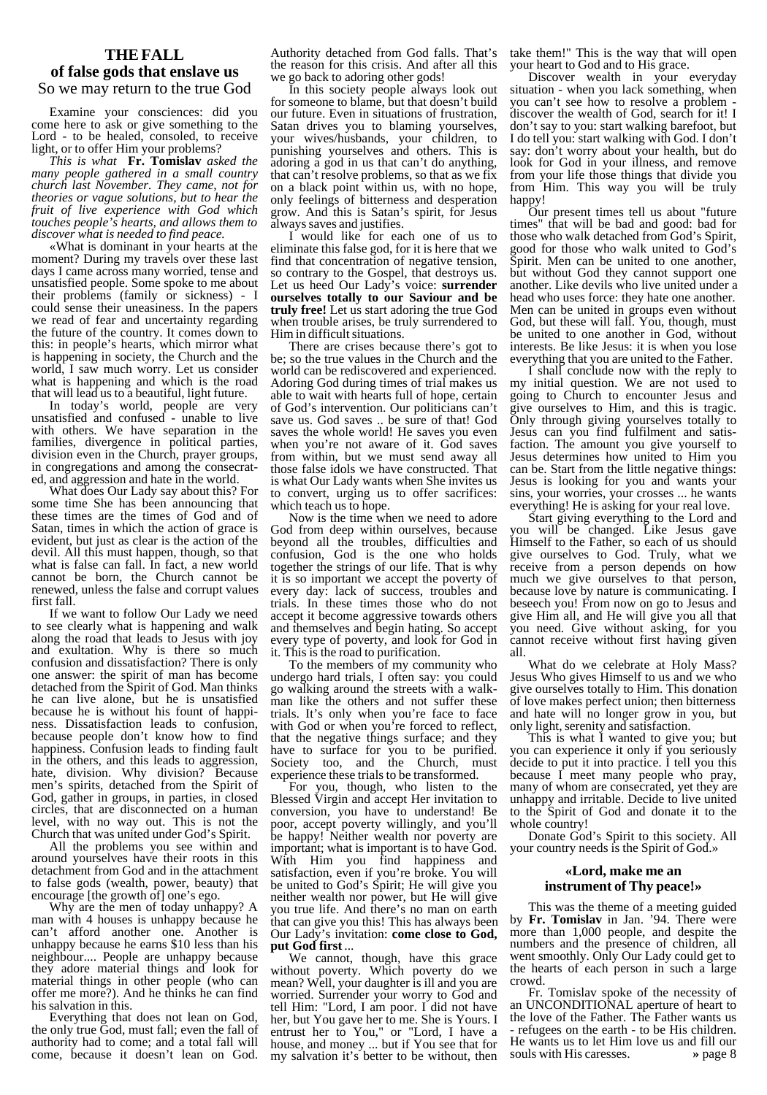## **THE FALL**

## **of false gods that enslave us** So we may return to the true God

Examine your consciences: did you come here to ask or give something to the Lord - to be healed, consoled, to receive light, or to offer Him your problems?

*This is what* **Fr. Tomislav** *asked the many people gathered in a small country church last November. They came, not for theories or vague solutions, but to hear the fruit of live experience with God which touches people's hearts, and allows them to discover what is needed to find peace.*

«What is dominant in your hearts at the moment? During my travels over these last days I came across many worried, tense and unsatisfied people. Some spoke to me about their problems (family or sickness) - I could sense their uneasiness. In the papers we read of fear and uncertainty regarding the future of the country. It comes down to this: in people's hearts, which mirror what is happening in society, the Church and the world, I saw much worry. Let us consider what is happening and which is the road that will lead us to a beautiful, light future.

In today's world, people are very unsatisfied and confused - unable to live with others. We have separation in the families, divergence in political parties, division even in the Church, prayer groups, in congregations and among the consecrated, and aggression and hate in the world.

What does Our Lady say about this? For some time She has been announcing that these times are the times of God and of Satan, times in which the action of grace is evident, but just as clear is the action of the devil. All this must happen, though, so that what is false can fall. In fact, a new world cannot be born, the Church cannot be renewed, unless the false and corrupt values first fall.

If we want to follow Our Lady we need to see clearly what is happening and walk along the road that leads to Jesus with joy and exultation. Why is there so much confusion and dissatisfaction? There is only one answer: the spirit of man has become detached from the Spirit of God. Man thinks he can live alone, but he is unsatisfied because he is without his fount of happiness. Dissatisfaction leads to confusion, because people don't know how to find happiness. Confusion leads to finding fault in the others, and this leads to aggression, hate. division. Why division? Because hate, division. Why division? men's spirits, detached from the Spirit of God, gather in groups, in parties, in closed circles, that are disconnected on a human level, with no way out. This is not the Church that was united under God's Spirit.

All the problems you see within and around yourselves have their roots in this detachment from God and in the attachment to false gods (wealth, power, beauty) that encourage [the growth of] one's ego.

Why are the men of today unhappy? A man with 4 houses is unhappy because he can't afford another one. Another is unhappy because he earns \$10 less than his neighbour.... People are unhappy because they adore material things and look for material things in other people (who can offer me more?). And he thinks he can find his salvation in this.

Everything that does not lean on God, the only true God, must fall; even the fall of authority had to come; and a total fall will come, because it doesn't lean on God. the reason for this crisis. And after all this we go back to adoring other gods!

In this society people always look out for someone to blame, but that doesn't build our future. Even in situations of frustration, Satan drives you to blaming yourselves, your wives/husbands, your children, to punishing yourselves and others. This is adoring a god in us that can't do anything, that can't resolve problems, so that as we fix on a black point within us, with no hope, only feelings of bitterness and desperation grow. And this is Satan's spirit, for Jesus always saves and justifies.

I would like for each one of us to eliminate this false god, for it is here that we find that concentration of negative tension, so contrary to the Gospel, that destroys us. Let us heed Our Lady's voice: **surrender ourselves totally to our Saviour and be truly free!** Let us start adoring the true God when trouble arises, be truly surrendered to Him in difficult situations.

There are crises because there's got to be; so the true values in the Church and the world can be rediscovered and experienced. Adoring God during times of trial makes us able to wait with hearts full of hope, certain of God's intervention. Our politicians can't save us. God saves .. be sure of that! God saves the whole world! He saves you even when you're not aware of it. God saves from within, but we must send away all those false idols we have constructed. That is what Our Lady wants when She invites us to convert, urging us to offer sacrifices: which teach us to hope.

Now is the time when we need to adore God from deep within ourselves, because beyond all the troubles, difficulties and confusion, God is the one who holds together the strings of our life. That is why it is so important we accept the poverty of every day: lack of success, troubles and trials. In these times those who do not accept it become aggressive towards others and themselves and begin hating. So accept every type of poverty, and look for God in it. This is the road to purification.

To the members of my community who undergo hard trials, I often say: you could go walking around the streets with a walkman like the others and not suffer these trials. It's only when you're face to face with God or when you're forced to reflect, that the negative things surface; and they have to surface for you to be purified. Society too, and the Church, must experience these trials to be transformed.

For you, though, who listen to the Blessed Virgin and accept Her invitation to conversion, you have to understand! Be poor, accept poverty willingly, and you'll be happy! Neither wealth nor poverty are important; what is important is to have God. With Him you find happiness and satisfaction, even if you're broke. You will be united to God's Spirit; He will give you neither wealth nor power, but He will give you true life. And there's no man on earth that can give you this! This has always been Our Lady's invitation: **come close to God, put God first** ...

We cannot, though, have this grace without poverty. Which poverty do we mean? Well, your daughter is ill and you are worried. Surrender your worry to God and tell Him: "Lord, I am poor. I did not have her, but You gave her to me. She is Yours. I entrust her to You," or "Lord, I have a house, and money ... but if You see that for my salvation it's better to be without, then

Authority detached from God falls. That's take them!" This is the way that will open your heart to God and to His grace.

Discover wealth in your everyday situation - when you lack something, when you can't see how to resolve a problem discover the wealth of God, search for it! I don't say to you: start walking barefoot, but I do tell you: start walking with God. I don't say: don't worry about your health, but do look for God in your illness, and remove from your life those things that divide you from Him. This way you will be truly happy!

Our present times tell us about "future times" that will be bad and good: bad for those who walk detached from God's Spirit, good for those who walk united to God's Spirit. Men can be united to one another, but without God they cannot support one another. Like devils who live united under a head who uses force: they hate one another. Men can be united in groups even without God, but these will fall. You, though, must be united to one another in God, without interests. Be like Jesus: it is when you lose everything that you are united to the Father.

I shall conclude now with the reply to my initial question. We are not used to going to Church to encounter Jesus and give ourselves to Him, and this is tragic. Only through giving yourselves totally to Jesus can you find fulfilment and satisfaction. The amount you give yourself to Jesus determines how united to Him you can be. Start from the little negative things: Jesus is looking for you and wants your sins, your worries, your crosses ... he wants everything! He is asking for your real love.

Start giving everything to the Lord and you will be changed. Like Jesus gave Himself to the Father, so each of us should give ourselves to God. Truly, what we receive from a person depends on how much we give ourselves to that person, because love by nature is communicating. I beseech you! From now on go to Jesus and give Him all, and He will give you all that you need. Give without asking, for you cannot receive without first having given all.

What do we celebrate at Holy Mass? Jesus Who gives Himself to us and we who give ourselves totally to Him. This donation of love makes perfect union; then bitterness and hate will no longer grow in you, but only light, serenity and satisfaction.

This is what I wanted to give you; but you can experience it only if you seriously decide to put it into practice. I tell you this because I meet many people who pray, many of whom are consecrated, yet they are unhappy and irritable. Decide to live united to the Spirit of God and donate it to the whole country!

Donate God's Spirit to this society. All your country needs is the Spirit of God.»

## **«Lord, make me an instrument of Thy peace!»**

This was the theme of a meeting guided by **Fr. Tomislav** in Jan. '94. There were more than 1,000 people, and despite the numbers and the presence of children, all went smoothly. Only Our Lady could get to the hearts of each person in such a large crowd.

Fr. Tomislav spoke of the necessity of an UNCONDITIONAL aperture of heart to the love of the Father. The Father wants us - refugees on the earth - to be His children. He wants us to let Him love us and fill our souls with His caresses.  $\rightarrow$  page 8 souls with His caresses.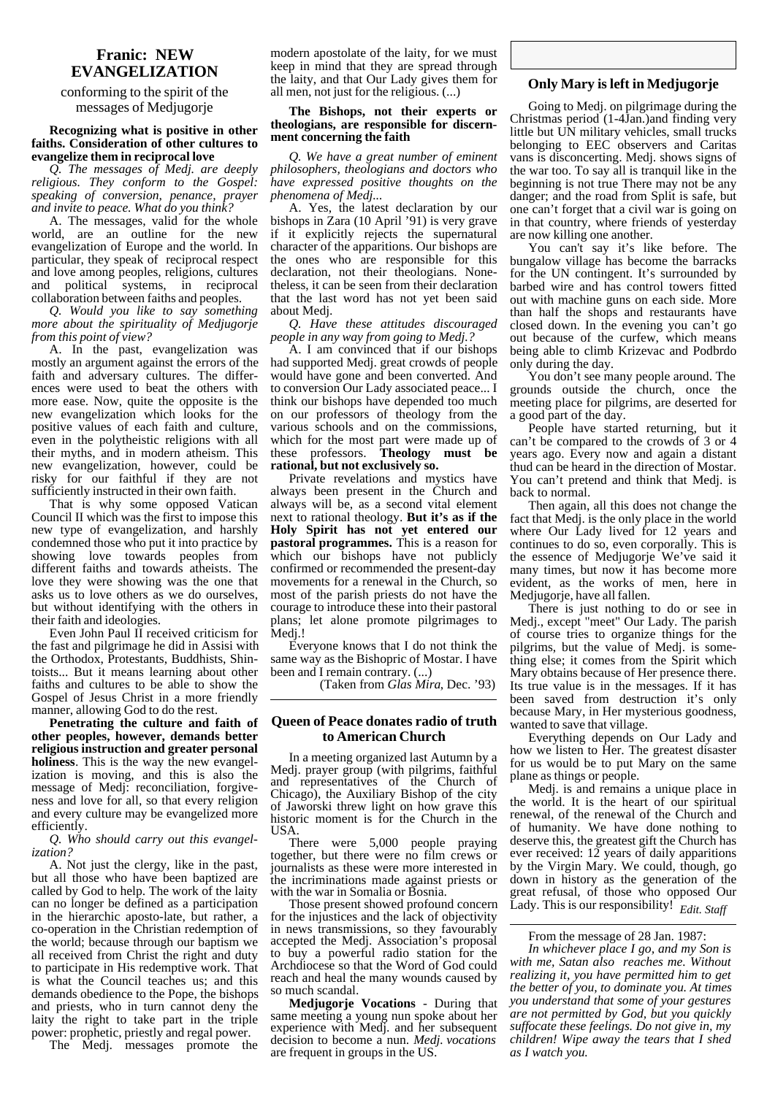## **Franic: NEW EVANGELIZATION**

## conforming to the spirit of the messages of Medjugorje

### **Recognizing what is positive in other faiths. Consideration of other cultures to evangelize them in reciprocal love**

*Q. The messages of Medj. are deeply religious. They conform to the Gospel: speaking of conversion, penance, prayer and invite to peace. What do you think?*

A. The messages, valid for the whole world, are an outline for the new evangelization of Europe and the world. In particular, they speak of reciprocal respect and love among peoples, religions, cultures<br>and political systems, in reciprocal political systems, in reciprocal collaboration between faiths and peoples.

*Q. Would you like to say something more about the spirituality of Medjugorje from this point of view?*

A. In the past, evangelization was mostly an argument against the errors of the faith and adversary cultures. The differences were used to beat the others with more ease. Now, quite the opposite is the new evangelization which looks for the positive values of each faith and culture, even in the polytheistic religions with all their myths, and in modern atheism. This new evangelization, however, could be risky for our faithful if they are not sufficiently instructed in their own faith.

That is why some opposed Vatican Council II which was the first to impose this new type of evangelization, and harshly condemned those who put it into practice by showing love towards peoples from different faiths and towards atheists. The love they were showing was the one that asks us to love others as we do ourselves, but without identifying with the others in their faith and ideologies.

Even John Paul II received criticism for the fast and pilgrimage he did in Assisi with the Orthodox, Protestants, Buddhists, Shintoists... But it means learning about other faiths and cultures to be able to show the Gospel of Jesus Christ in a more friendly manner, allowing God to do the rest.

**Penetrating the culture and faith of other peoples, however, demands better religious instruction and greater personal holiness**. This is the way the new evangelization is moving, and this is also the message of Medj: reconciliation, forgiveness and love for all, so that every religion and every culture may be evangelized more efficiently.

*Q. Who should carry out this evangelization?*

A. Not just the clergy, like in the past, but all those who have been baptized are called by God to help. The work of the laity can no longer be defined as a participation in the hierarchic aposto-late, but rather, a co-operation in the Christian redemption of the world; because through our baptism we all received from Christ the right and duty to participate in His redemptive work. That is what the Council teaches us; and this demands obedience to the Pope, the bishops and priests, who in turn cannot deny the laity the right to take part in the triple power: prophetic, priestly and regal power.

The Medj. messages promote the

modern apostolate of the laity, for we must keep in mind that they are spread through the laity, and that Our Lady gives them for all men, not just for the religious. (...)

#### **The Bishops, not their experts or theologians, are responsible for discernment concerning the faith**

*Q. We have a great number of eminent philosophers, theologians and doctors who have expressed positive thoughts on the phenomena of Medj...*

A. Yes, the latest declaration by our bishops in Zara (10 April '91) is very grave if it explicitly rejects the supernatural character of the apparitions. Our bishops are the ones who are responsible for this declaration, not their theologians. Nonetheless, it can be seen from their declaration that the last word has not yet been said about Medj.

*Q. Have these attitudes discouraged people in any way from going to Medj.?*

A. I am convinced that if our bishops had supported Medj. great crowds of people would have gone and been converted. And to conversion Our Lady associated peace... I think our bishops have depended too much on our professors of theology from the various schools and on the commissions, which for the most part were made up of these professors. **Theology must be rational, but not exclusively so.**

Private revelations and mystics have always been present in the Church and always will be, as a second vital element next to rational theology. **But it's as if the Holy Spirit has not yet entered our pastoral programmes.** This is a reason for which our bishops have not publicly confirmed or recommended the present-day movements for a renewal in the Church, so most of the parish priests do not have the courage to introduce these into their pastoral plans; let alone promote pilgrimages to Medi!

Everyone knows that I do not think the same way as the Bishopric of Mostar. I have been and I remain contrary. (...)

(Taken from *Glas Mira*, Dec. '93)

### **Queen of Peace donates radio of truth to American Church**

In a meeting organized last Autumn by a Medj. prayer group (with pilgrims, faithful and representatives of the Church of Chicago), the Auxiliary Bishop of the city of Jaworski threw light on how grave this historic moment is for the Church in the USA.

There were 5,000 people praying together, but there were no film crews or journalists as these were more interested in the incriminations made against priests or with the war in Somalia or Bosnia.

Those present showed profound concern for the injustices and the lack of objectivity in news transmissions, so they favourably accepted the Medj. Association's proposal to buy a powerful radio station for the Archdiocese so that the Word of God could reach and heal the many wounds caused by so much scandal.

**Medjugorje Vocations** - During that same meeting a young nun spoke about her experience with Medj. and her subsequent decision to become a nun. *Medj. vocations* are frequent in groups in the US.

## **Only Mary is left in Medjugorje**

Going to Medj. on pilgrimage during the Christmas period (1-4Jan.)and finding very little but UN military vehicles, small trucks belonging to EEC observers and Caritas vans is disconcerting. Medj. shows signs of the war too. To say all is tranquil like in the beginning is not true There may not be any danger; and the road from Split is safe, but one can't forget that a civil war is going on in that country, where friends of yesterday are now killing one another.

You can't say it's like before. The bungalow village has become the barracks for the UN contingent. It's surrounded by barbed wire and has control towers fitted out with machine guns on each side. More than half the shops and restaurants have closed down. In the evening you can't go out because of the curfew, which means being able to climb Krizevac and Podbrdo only during the day.

You don't see many people around. The grounds outside the church, once the meeting place for pilgrims, are deserted for a good part of the day.

People have started returning, but it can't be compared to the crowds of 3 or 4 years ago. Every now and again a distant thud can be heard in the direction of Mostar. You can't pretend and think that Medj. is back to normal.

Then again, all this does not change the fact that Medj. is the only place in the world where Our Lady lived for 12 years and continues to do so, even corporally. This is the essence of Medjugorje We've said it many times, but now it has become more evident, as the works of men, here in Medjugorje, have all fallen.

There is just nothing to do or see in Medj., except "meet" Our Lady. The parish of course tries to organize things for the pilgrims, but the value of Medj. is something else; it comes from the Spirit which Mary obtains because of Her presence there. Its true value is in the messages. If it has been saved from destruction it's only because Mary, in Her mysterious goodness, wanted to save that village.

Everything depends on Our Lady and how we listen to Her. The greatest disaster for us would be to put Mary on the same plane as things or people.

Medj. is and remains a unique place in the world. It is the heart of our spiritual renewal, of the renewal of the Church and of humanity. We have done nothing to deserve this, the greatest gift the Church has ever received: 12 years of daily apparitions by the Virgin Mary. We could, though, go down in history as the generation of the great refusal, of those who opposed Our Lady. This is our responsibility!  *Edit. Staff*

## From the message of 28 Jan. 1987:

*In whichever place I go, and my Son is with me, Satan also reaches me. Without realizing it, you have permitted him to get the better of you, to dominate you. At times you understand that some of your gestures are not permitted by God, but you quickly suffocate these feelings. Do not give in, my children! Wipe away the tears that I shed as I watch you.*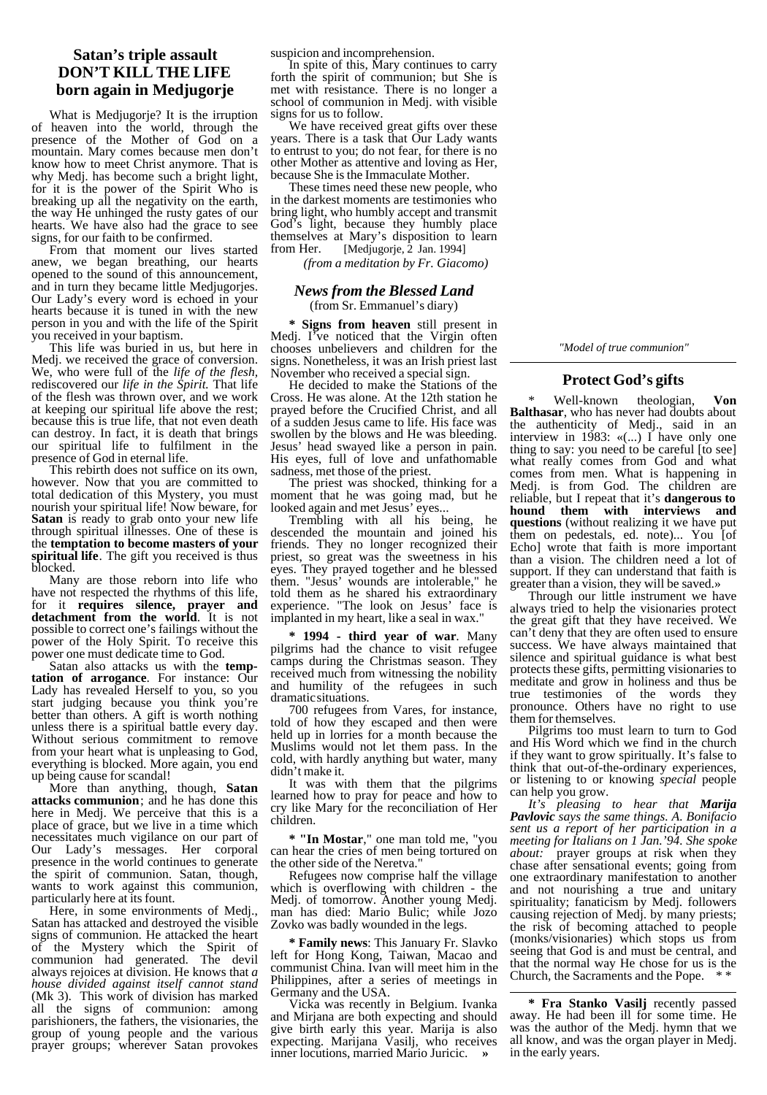# **Satan's triple assault DON'T KILL THE LIFE born again in Medjugorje**

What is Medjugorje? It is the irruption of heaven into the world, through the presence of the Mother of God on a mountain. Mary comes because men don't know how to meet Christ anymore. That is why Medj. has become such a bright light, for it is the power of the Spirit Who is breaking up all the negativity on the earth, the way He unhinged the rusty gates of our hearts. We have also had the grace to see signs, for our faith to be confirmed.

From that moment our lives started anew, we began breathing, our hearts opened to the sound of this announcement, and in turn they became little Medjugorjes. Our Lady's every word is echoed in your hearts because it is tuned in with the new person in you and with the life of the Spirit you received in your baptism.

This life was buried in us, but here in Medj. we received the grace of conversion. We, who were full of the *life of the flesh,* rediscovered our *life in the Spirit.* That life of the flesh was thrown over, and we work at keeping our spiritual life above the rest; because this is true life, that not even death can destroy. In fact, it is death that brings our spiritual life to fulfilment in the presence of God in eternal life.

This rebirth does not suffice on its own, however. Now that you are committed to total dedication of this Mystery, you must nourish your spiritual life! Now beware, for **Satan** is ready to grab onto your new life through spiritual illnesses. One of these is the **temptation to become masters of your spiritual life**. The gift you received is thus blocked.

Many are those reborn into life who have not respected the rhythms of this life, for it **requires silence, prayer and detachment from the world**. It is not possible to correct one's failings without the power of the Holy Spirit. To receive this power one must dedicate time to God.

Satan also attacks us with the **temptation of arrogance**. For instance: Our Lady has revealed Herself to you, so you start judging because you think you're better than others. A gift is worth nothing unless there is a spiritual battle every day. Without serious commitment to remove from your heart what is unpleasing to God, everything is blocked. More again, you end up being cause for scandal!

More than anything, though, **Satan attacks communion**; and he has done this here in Medj. We perceive that this is a place of grace, but we live in a time which necessitates much vigilance on our part of Our Lady's messages. Her corporal presence in the world continues to generate the spirit of communion. Satan, though, wants to work against this communion, particularly here at its fount.

Here, in some environments of Medj., Satan has attacked and destroyed the visible signs of communion. He attacked the heart of the Mystery which the Spirit of communion had generated. The devil always rejoices at division. He knows that *a house divided against itself cannot stand* (Mk 3). This work of division has marked all the signs of communion: among parishioners, the fathers, the visionaries, the group of young people and the various prayer groups; wherever Satan provokes

suspicion and incomprehension.

In spite of this, Mary continues to carry forth the spirit of communion; but She is met with resistance. There is no longer a school of communion in Medj. with visible signs for us to follow.

We have received great gifts over these years. There is a task that Our Lady wants to entrust to you; do not fear, for there is no other Mother as attentive and loving as Her, because She is the Immaculate Mother.

These times need these new people, who in the darkest moments are testimonies who bring light, who humbly accept and transmit God's light, because they humbly place themselves at Mary's disposition to learn<br>from Her. [Medjugorje, 2 Jan. 1994] [Medjugorje, 2 Jan. 1994]

 *(from a meditation by Fr. Giacomo)*

### *News from the Blessed Land* (from Sr. Emmanuel's diary)

**\* Signs from heaven** still present in Medj. I've noticed that the Virgin often chooses unbelievers and children for the signs. Nonetheless, it was an Irish priest last November who received a special sign.

He decided to make the Stations of the Cross. He was alone. At the 12th station he prayed before the Crucified Christ, and all of a sudden Jesus came to life. His face was swollen by the blows and He was bleeding. Jesus' head swayed like a person in pain. His eyes, full of love and unfathomable sadness, met those of the priest.

The priest was shocked, thinking for a moment that he was going mad, but he looked again and met Jesus' eyes...

Trembling with all his being, he descended the mountain and joined his friends. They no longer recognized their priest, so great was the sweetness in his eyes. They prayed together and he blessed them. "Jesus' wounds are intolerable," he told them as he shared his extraordinary experience. "The look on Jesus' face is implanted in my heart, like a seal in wax.

**\* 1994 - third year of war**. Many pilgrims had the chance to visit refugee camps during the Christmas season. They received much from witnessing the nobility and humility of the refugees in such dramatic situations.

700 refugees from Vares, for instance, told of how they escaped and then were held up in lorries for a month because the Muslims would not let them pass. In the cold, with hardly anything but water, many didn't make it.

It was with them that the pilgrims learned how to pray for peace and how to cry like Mary for the reconciliation of Her children.

**\* "In Mostar**," one man told me, "you can hear the cries of men being tortured on the other side of the Neretva."

Refugees now comprise half the village which is overflowing with children - the Medj. of tomorrow. Another young Medj. man has died: Mario Bulic; while Jozo Zovko was badly wounded in the legs.

**\* Family news**: This January Fr. Slavko left for Hong Kong, Taiwan, Macao and communist China. Ivan will meet him in the Philippines, after a series of meetings in Germany and the USA.

Vicka was recently in Belgium. Ivanka and Mirjana are both expecting and should give birth early this year. Marija is also expecting. Marijana Vasilj, who receives inner locutions, married Mario Juricic. **»**

*"Model of true communion"*

## **Protect God's gifts**

\* Well-known theologian, **Von Balthasar**, who has never had doubts about the authenticity of Medj., said in an interview in 1983: «(...) I have only one thing to say: you need to be careful [to see] what really comes from God and what comes from men. What is happening in Medj. is from God. The children are reliable, but I repeat that it's **dangerous to hound** them with interviews **questions** (without realizing it we have put them on pedestals, ed. note)... You [of Echo] wrote that faith is more important than a vision. The children need a lot of support. If they can understand that faith is greater than a vision, they will be saved.»

Through our little instrument we have always tried to help the visionaries protect the great gift that they have received. We can't deny that they are often used to ensure success. We have always maintained that silence and spiritual guidance is what best protects these gifts, permitting visionaries to meditate and grow in holiness and thus be true testimonies of the words they pronounce. Others have no right to use them for themselves.

Pilgrims too must learn to turn to God and His Word which we find in the church if they want to grow spiritually. It's false to think that out-of-the-ordinary experiences, or listening to or knowing *special* people can help you grow.

*It's pleasing to hear that Marija Pavlovic says the same things. A. Bonifacio sent us a report of her participation in a meeting for Italians on 1 Jan.'94. She spoke about:* prayer groups at risk when they chase after sensational events; going from one extraordinary manifestation to another and not nourishing a true and unitary spirituality; fanaticism by Medj. followers causing rejection of Medj. by many priests; the risk of becoming attached to people (monks/visionaries) which stops us from seeing that God is and must be central, and that the normal way He chose for us is the Church, the Sacraments and the Pope. \* \*

**\* Fra Stanko Vasilj** recently passed away. He had been ill for some time. He was the author of the Medj. hymn that we all know, and was the organ player in Medj. in the early years.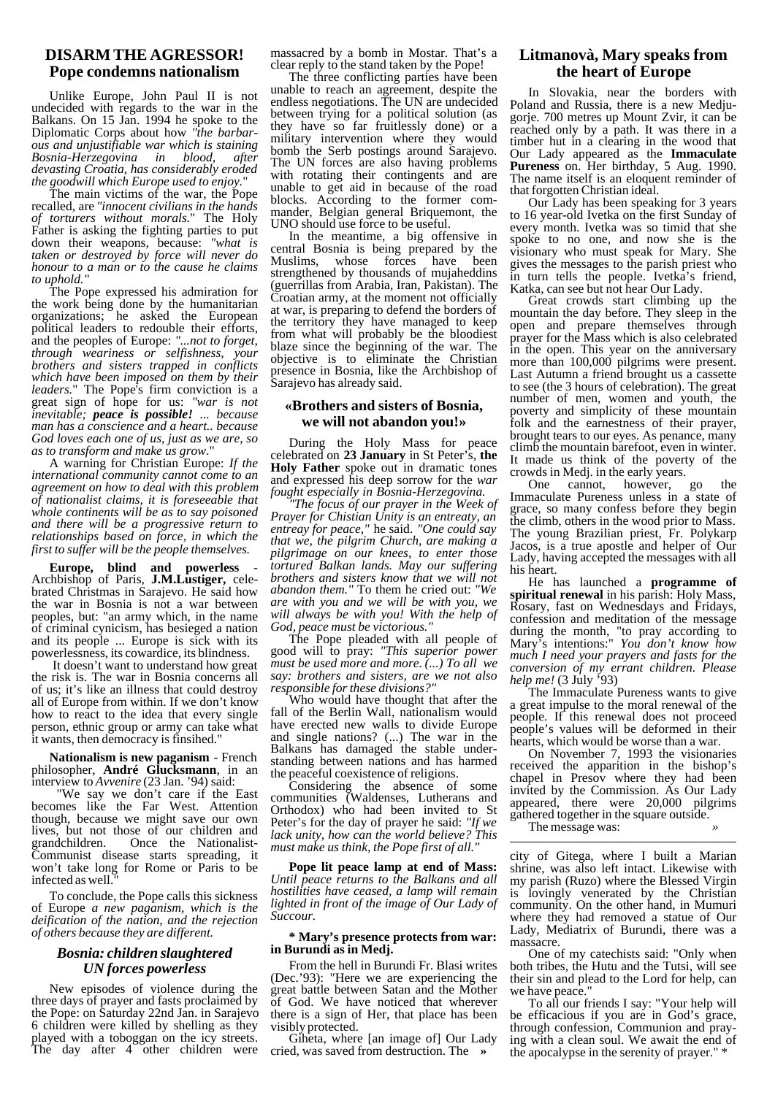# **DISARM THE AGRESSOR! Pope condemns nationalism**

Unlike Europe, John Paul II is not undecided with regards to the war in the Balkans. On 15 Jan. 1994 he spoke to the Diplomatic Corps about how *"the barbarous and unjustifiable war which is staining Bosnia-Herzegovina in blood, devasting Croatia, has considerably eroded the goodwill which Europe used to enjoy.*"

The main victims of the war, the Pope recalled, are *"innocent civilians in the hands of torturers without morals.*" The Holy Father is asking the fighting parties to put down their weapons, because: *"what is taken or destroyed by force will never do honour to a man or to the cause he claims to uphold."*

The Pope expressed his admiration for the work being done by the humanitarian organizations; he asked the European political leaders to redouble their efforts, and the peoples of Europe: *"...not to forget, through weariness or selfishness, your brothers and sisters trapped in conflicts which have been imposed on them by their leaders.*" The Pope's firm conviction is a great sign of hope for us: *"war is not inevitable; peace is possible! ... because man has a conscience and a heart.. because God loves each one of us, just as we are, so as to transform and make us grow*."

A warning for Christian Europe: *If the international community cannot come to an agreement on how to deal with this problem of nationalist claims, it is foreseeable that whole continents will be as to say poisoned and there will be a progressive return to relationships based on force, in which the first to suffer will be the people themselves.*

Europe, blind and powerless Archbishop of Paris, **J.M.Lustiger,** celebrated Christmas in Sarajevo. He said how the war in Bosnia is not a war between peoples, but: "an army which, in the name of criminal cynicism, has besieged a nation and its people ... Europe is sick with its powerlessness, its cowardice, its blindness.

 It doesn't want to understand how great the risk is. The war in Bosnia concerns all of us; it's like an illness that could destroy all of Europe from within. If we don't know how to react to the idea that every single person, ethnic group or army can take what it wants, then democracy is finsihed."

**Nationalism is new paganism** - French philosopher, **André Glucksmann**, in an interview to *Avvenire* (23 Jan. '94) said:

 "We say we don't care if the East becomes like the Far West. Attention though, because we might save our own lives, but not those of our children and grandchildren. Once the Nationalist-Communist disease starts spreading, it won't take long for Rome or Paris to be infected as well.

To conclude, the Pope calls this sickness of Europe *a new paganism, which is the deification of the nation, and the rejection of others because they are different.*

## *Bosnia: children slaughtered UN forces powerless*

New episodes of violence during the three days of prayer and fasts proclaimed by the Pope: on Saturday 22nd Jan. in Sarajevo 6 children were killed by shelling as they played with a toboggan on the icy streets. The day after 4 other children were

massacred by a bomb in Mostar. That's a clear reply to the stand taken by the Pope!

The three conflicting parties have been unable to reach an agreement, despite the endless negotiations. The UN are undecided between trying for a political solution (as they have so far fruitlessly done) or a military intervention where they would bomb the Serb postings around Sarajevo. The UN forces are also having problems with rotating their contingents and are unable to get aid in because of the road blocks. According to the former commander, Belgian general Briquemont, the UNO should use force to be useful.

In the meantime, a big offensive in central Bosnia is being prepared by the Muslims, whose forces have strengthened by thousands of mujaheddins (guerrillas from Arabia, Iran, Pakistan). The Croatian army, at the moment not officially at war, is preparing to defend the borders of the territory they have managed to keep from what will probably be the bloodiest blaze since the beginning of the war. The objective is to eliminate the Christian presence in Bosnia, like the Archbishop of Sarajevo has already said.

## **«Brothers and sisters of Bosnia, we will not abandon you!»**

During the Holy Mass for peace celebrated on **23 January** in St Peter's, **the Holy Father** spoke out in dramatic tones and expressed his deep sorrow for the *war fought especially in Bosnia-Herzegovina.*

*"The focus of our prayer in the Week of Prayer for Chistian Unity is an entreaty, an entreay for peace,"* he said. *"One could say that we, the pilgrim Church, are making a pilgrimage on our knees, to enter those tortured Balkan lands. May our suffering brothers and sisters know that we will not abandon them."* To them he cried out: *"We are with you and we will be with you, we will always be with you! With the help of God, peace must be victorious."*

The Pope pleaded with all people of good will to pray: *"This superior power must be used more and more. (...) To all we say: brothers and sisters, are we not also responsible for these divisions?"*

Who would have thought that after the fall of the Berlin Wall, nationalism would have erected new walls to divide Europe and single nations? (...) The war in the Balkans has damaged the stable understanding between nations and has harmed the peaceful coexistence of religions.

Considering the absence of some communities (Waldenses, Lutherans and Orthodox) who had been invited to St Peter's for the day of prayer he said: *"If we lack unity, how can the world believe? This must make us think, the Pope first of all."*

**Pope lit peace lamp at end of Mass:** *Until peace returns to the Balkans and all hostilities have ceased, a lamp will remain lighted in front of the image of Our Lady of Succour.*

### **\* Mary's presence protects from war: in Burundi as in Medj.**

From the hell in Burundi Fr. Blasi writes (Dec.'93): "Here we are experiencing the great battle between Satan and the Mother of God. We have noticed that wherever there is a sign of Her, that place has been visibly protected.

Giheta, where [an image of] Our Lady cried, was saved from destruction. The **»**

# **Litmanovà, Mary speaks from the heart of Europe**

In Slovakia, near the borders with Poland and Russia, there is a new Medjugorje. 700 metres up Mount Zvir, it can be reached only by a path. It was there in a timber hut in a clearing in the wood that Our Lady appeared as the **Immaculate Pureness** on. Her birthday, 5 Aug. 1990. The name itself is an eloquent reminder of that forgotten Christian ideal.

Our Lady has been speaking for 3 years to 16 year-old Ivetka on the first Sunday of every month. Ivetka was so timid that she spoke to no one, and now she is the visionary who must speak for Mary. She gives the messages to the parish priest who in turn tells the people. Ivetka's friend, Katka, can see but not hear Our Lady.

Great crowds start climbing up the mountain the day before. They sleep in the open and prepare themselves through prayer for the Mass which is also celebrated in the open. This year on the anniversary more than 100,000 pilgrims were present. Last Autumn a friend brought us a cassette to see (the 3 hours of celebration). The great number of men, women and youth, the poverty and simplicity of these mountain folk and the earnestness of their prayer, brought tears to our eyes. As penance, many climb the mountain barefoot, even in winter. It made us think of the poverty of the crowds in Medj. in the early years.

One cannot, however, go the Immaculate Pureness unless in a state of grace, so many confess before they begin the climb, others in the wood prior to Mass. The young Brazilian priest, Fr. Polykarp Jacos, is a true apostle and helper of Our Lady, having accepted the messages with all his heart.

He has launched a **programme of spiritual renewal** in his parish: Holy Mass, Rosary, fast on Wednesdays and Fridays, confession and meditation of the message during the month, "to pray according to Mary's intentions:" *You don't know how much I need your prayers and fasts for the conversion of my errant children. Please help me!* (3 July '93)

The Immaculate Pureness wants to give a great impulse to the moral renewal of the people. If this renewal does not proceed people's values will be deformed in their hearts, which would be worse than a war.

On November 7, 1993 the visionaries received the apparition in the bishop's chapel in Presov where they had been invited by the Commission. As Our Lady appeared, there were 20,000 pilgrims gathered together in the square outside.

The message was: *»*

city of Gitega, where I built a Marian shrine, was also left intact. Likewise with my parish (Ruzo) where the Blessed Virgin is lovingly venerated by the Christian community. On the other hand, in Mumuri where they had removed a statue of Our Lady, Mediatrix of Burundi, there was a massacre.

One of my catechists said: "Only when both tribes, the Hutu and the Tutsi, will see their sin and plead to the Lord for help, can we have peace.

To all our friends I say: "Your help will be efficacious if you are in God's grace, through confession, Communion and praying with a clean soul. We await the end of the apocalypse in the serenity of prayer." \*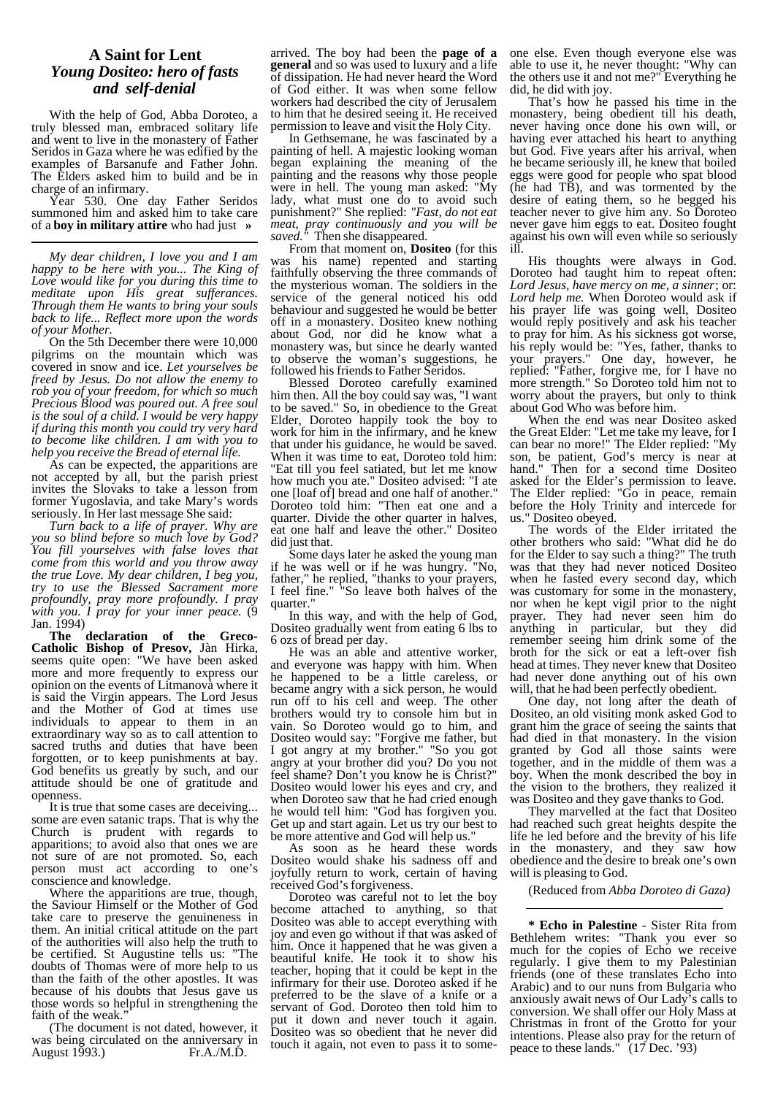# **A Saint for Lent** *Young Dositeo: hero of fasts and self-denial*

With the help of God, Abba Doroteo, a truly blessed man, embraced solitary life and went to live in the monastery of Father Seridos in Gaza where he was edified by the examples of Barsanufe and Father John. The Elders asked him to build and be in charge of an infirmary.

Year 530. One day Father Seridos summoned him and asked him to take care of a **boy in military attire** who had just **»**

*My dear children, I love you and I am happy to be here with you... The King of Love would like for you during this time to meditate upon His great sufferances. Through them He wants to bring your souls back to life... Reflect more upon the words of your Mother.*

On the 5th December there were 10,000 pilgrims on the mountain which was covered in snow and ice. *Let yourselves be freed by Jesus. Do not allow the enemy to rob you of your freedom, for which so much Precious Blood was poured out. A free soul is the soul of a child. I would be very happy if during this month you could try very hard to become like children. I am with you to help you receive the Bread of eternal life.*

As can be expected, the apparitions are not accepted by all, but the parish priest invites the Slovaks to take a lesson from former Yugoslavia, and take Mary's words seriously. In Her last message She said:

*Turn back to a life of prayer. Why are you so blind before so much love by God? You fill yourselves with false loves that come from this world and you throw away the true Love. My dear children, I beg you, try to use the Blessed Sacrament more profoundly, pray more profoundly. I pray with you. I pray for your inner peace.* (9 Jan. 1994)

**The declaration of the Greco-Catholic Bishop of Presov,** Jàn Hirka, seems quite open: "We have been asked more and more frequently to express our opinion on the events of Litmanovà where it is said the Virgin appears. The Lord Jesus and the Mother of God at times use individuals to appear to them in an extraordinary way so as to call attention to sacred truths and duties that have been forgotten, or to keep punishments at bay. God benefits us greatly by such, and our attitude should be one of gratitude and openness.

It is true that some cases are deceiving... some are even satanic traps. That is why the Church is prudent with regards to apparitions; to avoid also that ones we are not sure of are not promoted. So, each person must act according to one's conscience and knowledge.

Where the apparitions are true, though, the Saviour Himself or the Mother of God take care to preserve the genuineness in them. An initial critical attitude on the part of the authorities will also help the truth to be certified. St Augustine tells us: "The doubts of Thomas were of more help to us than the faith of the other apostles. It was because of his doubts that Jesus gave us those words so helpful in strengthening the faith of the weak.<sup>"</sup>

(The document is not dated, however, it was being circulated on the anniversary in<br>August 1993.) Fr.A./M.D. August 1993.)

arrived. The boy had been the **page of a general** and so was used to luxury and a life of dissipation. He had never heard the Word of God either. It was when some fellow workers had described the city of Jerusalem to him that he desired seeing it. He received permission to leave and visit the Holy City.

In Gethsemane, he was fascinated by a painting of hell. A majestic looking woman began explaining the meaning of the painting and the reasons why those people were in hell. The young man asked: "My lady, what must one do to avoid such punishment?" She replied: *"Fast, do not eat meat, pray continuously and you will be saved."* Then she disappeared.

From that moment on, **Dositeo** (for this was his name) repented and starting faithfully observing the three commands of the mysterious woman. The soldiers in the service of the general noticed his odd behaviour and suggested he would be better off in a monastery. Dositeo knew nothing about God, nor did he know what a monastery was, but since he dearly wanted to observe the woman's suggestions, he followed his friends to Father Seridos.

Blessed Doroteo carefully examined him then. All the boy could say was, "I want to be saved." So, in obedience to the Great Elder, Doroteo happily took the boy to work for him in the infirmary, and he knew that under his guidance, he would be saved. When it was time to eat, Doroteo told him: "Eat till you feel satiated, but let me know how much you ate." Dositeo advised: "I ate one [loaf of] bread and one half of another." Doroteo told him: "Then eat one and a quarter. Divide the other quarter in halves, eat one half and leave the other." Dositeo did just that.

Some days later he asked the young man if he was well or if he was hungry. "No, father," he replied, "thanks to your prayers, I feel fine." "So leave both halves of the quarter."

In this way, and with the help of God, Dositeo gradually went from eating 6 lbs to 6 ozs of bread per day.

He was an able and attentive worker, and everyone was happy with him. When he happened to be a little careless, or became angry with a sick person, he would run off to his cell and weep. The other brothers would try to console him but in vain. So Doroteo would go to him, and Dositeo would say: "Forgive me father, but I got angry at my brother." "So you got angry at your brother did you? Do you not feel shame? Don't you know he is Christ?" Dositeo would lower his eyes and cry, and when Doroteo saw that he had cried enough he would tell him: "God has forgiven you. Get up and start again. Let us try our best to be more attentive and God will help us."

As soon as he heard these words Dositeo would shake his sadness off and joyfully return to work, certain of having received God's forgiveness.

Doroteo was careful not to let the boy become attached to anything, so that Dositeo was able to accept everything with joy and even go without if that was asked of him. Once it happened that he was given a beautiful knife. He took it to show his teacher, hoping that it could be kept in the infirmary for their use. Doroteo asked if he preferred to be the slave of a knife or a servant of God. Doroteo then told him to put it down and never touch it again. Dositeo was so obedient that he never did touch it again, not even to pass it to someone else. Even though everyone else was able to use it, he never thought: "Why can the others use it and not me?" Everything he did, he did with joy.

That's how he passed his time in the monastery, being obedient till his death, never having once done his own will, or having ever attached his heart to anything but God. Five years after his arrival, when he became seriously ill, he knew that boiled eggs were good for people who spat blood (he had TB), and was tormented by the desire of eating them, so he begged his teacher never to give him any. So Doroteo never gave him eggs to eat. Dositeo fought against his own will even while so seriously ill.

His thoughts were always in God. Doroteo had taught him to repeat often: *Lord Jesus, have mercy on me, a sinner*; or: *Lord help me.* When Doroteo would ask if his prayer life was going well, Dositeo would reply positively and ask his teacher to pray for him. As his sickness got worse, his reply would be: "Yes, father, thanks to your prayers." One day, however, he replied: "Father, forgive me, for I have no more strength." So Doroteo told him not to worry about the prayers, but only to think about God Who was before him.

When the end was near Dositeo asked the Great Elder: "Let me take my leave, for I can bear no more!" The Elder replied: "My son, be patient, God's mercy is near at hand." Then for a second time Dositeo asked for the Elder's permission to leave. The Elder replied: "Go in peace, remain before the Holy Trinity and intercede for us." Dositeo obeyed.

The words of the Elder irritated the other brothers who said: "What did he do for the Elder to say such a thing?" The truth was that they had never noticed Dositeo when he fasted every second day, which was customary for some in the monastery, nor when he kept vigil prior to the night prayer. They had never seen him do anything in particular, but they did remember seeing him drink some of the broth for the sick or eat a left-over fish head at times. They never knew that Dositeo had never done anything out of his own will, that he had been perfectly obedient.

One day, not long after the death of Dositeo, an old visiting monk asked God to grant him the grace of seeing the saints that had died in that monastery. In the vision granted by God all those saints were together, and in the middle of them was a boy. When the monk described the boy in the vision to the brothers, they realized it was Dositeo and they gave thanks to God.

They marvelled at the fact that Dositeo had reached such great heights despite the life he led before and the brevity of his life in the monastery, and they saw how obedience and the desire to break one's own will is pleasing to God.

(Reduced from *Abba Doroteo di Gaza)*

**\* Echo in Palestine** - Sister Rita from Bethlehem writes: "Thank you ever so much for the copies of Echo we receive regularly. I give them to my Palestinian friends (one of these translates Echo into Arabic) and to our nuns from Bulgaria who anxiously await news of Our Lady's calls to conversion. We shall offer our Holy Mass at Christmas in front of the Grotto for your intentions. Please also pray for the return of peace to these lands." (17 Dec. '93)